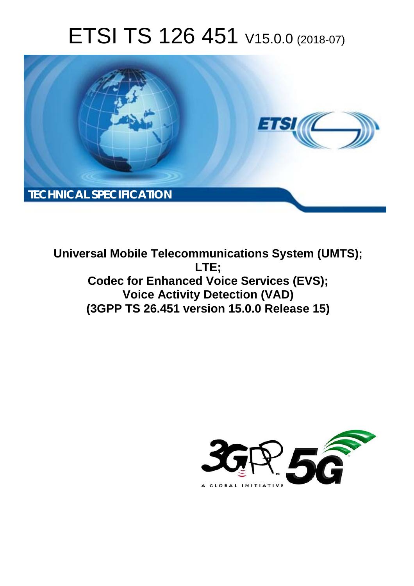# ETSI TS 126 451 V15.0.0 (2018-07)



**Universal Mobile Telecommunications System (UMTS); LTE; Codec for Enhanced Voice Services (EVS); Voice Activity Detection (VAD) (3GPP TS 26.451 version 15.0.0 Release 15)** 

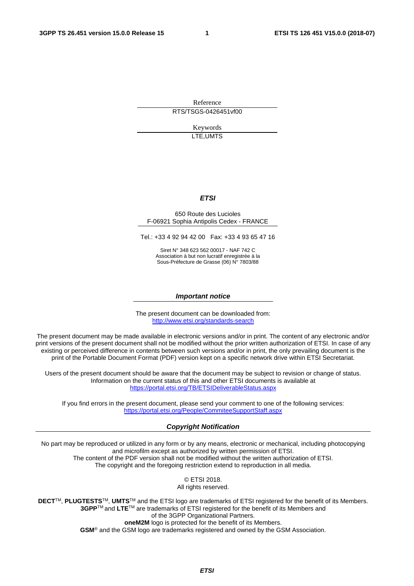Reference RTS/TSGS-0426451vf00

> Keywords LTE,UMTS

### *ETSI*

#### 650 Route des Lucioles F-06921 Sophia Antipolis Cedex - FRANCE

Tel.: +33 4 92 94 42 00 Fax: +33 4 93 65 47 16

Siret N° 348 623 562 00017 - NAF 742 C Association à but non lucratif enregistrée à la Sous-Préfecture de Grasse (06) N° 7803/88

#### *Important notice*

The present document can be downloaded from: <http://www.etsi.org/standards-search>

The present document may be made available in electronic versions and/or in print. The content of any electronic and/or print versions of the present document shall not be modified without the prior written authorization of ETSI. In case of any existing or perceived difference in contents between such versions and/or in print, the only prevailing document is the print of the Portable Document Format (PDF) version kept on a specific network drive within ETSI Secretariat.

Users of the present document should be aware that the document may be subject to revision or change of status. Information on the current status of this and other ETSI documents is available at <https://portal.etsi.org/TB/ETSIDeliverableStatus.aspx>

If you find errors in the present document, please send your comment to one of the following services: <https://portal.etsi.org/People/CommiteeSupportStaff.aspx>

### *Copyright Notification*

No part may be reproduced or utilized in any form or by any means, electronic or mechanical, including photocopying and microfilm except as authorized by written permission of ETSI. The content of the PDF version shall not be modified without the written authorization of ETSI. The copyright and the foregoing restriction extend to reproduction in all media.

> © ETSI 2018. All rights reserved.

**DECT**TM, **PLUGTESTS**TM, **UMTS**TM and the ETSI logo are trademarks of ETSI registered for the benefit of its Members. **3GPP**TM and **LTE**TM are trademarks of ETSI registered for the benefit of its Members and of the 3GPP Organizational Partners. **oneM2M** logo is protected for the benefit of its Members.

**GSM**® and the GSM logo are trademarks registered and owned by the GSM Association.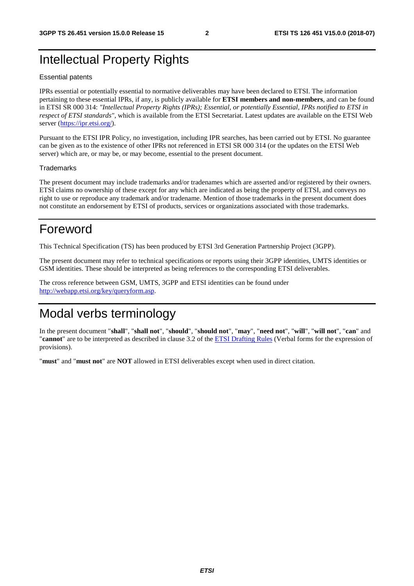# Intellectual Property Rights

### Essential patents

IPRs essential or potentially essential to normative deliverables may have been declared to ETSI. The information pertaining to these essential IPRs, if any, is publicly available for **ETSI members and non-members**, and can be found in ETSI SR 000 314: *"Intellectual Property Rights (IPRs); Essential, or potentially Essential, IPRs notified to ETSI in respect of ETSI standards"*, which is available from the ETSI Secretariat. Latest updates are available on the ETSI Web server ([https://ipr.etsi.org/\)](https://ipr.etsi.org/).

Pursuant to the ETSI IPR Policy, no investigation, including IPR searches, has been carried out by ETSI. No guarantee can be given as to the existence of other IPRs not referenced in ETSI SR 000 314 (or the updates on the ETSI Web server) which are, or may be, or may become, essential to the present document.

### **Trademarks**

The present document may include trademarks and/or tradenames which are asserted and/or registered by their owners. ETSI claims no ownership of these except for any which are indicated as being the property of ETSI, and conveys no right to use or reproduce any trademark and/or tradename. Mention of those trademarks in the present document does not constitute an endorsement by ETSI of products, services or organizations associated with those trademarks.

# Foreword

This Technical Specification (TS) has been produced by ETSI 3rd Generation Partnership Project (3GPP).

The present document may refer to technical specifications or reports using their 3GPP identities, UMTS identities or GSM identities. These should be interpreted as being references to the corresponding ETSI deliverables.

The cross reference between GSM, UMTS, 3GPP and ETSI identities can be found under [http://webapp.etsi.org/key/queryform.asp.](http://webapp.etsi.org/key/queryform.asp)

# Modal verbs terminology

In the present document "**shall**", "**shall not**", "**should**", "**should not**", "**may**", "**need not**", "**will**", "**will not**", "**can**" and "**cannot**" are to be interpreted as described in clause 3.2 of the [ETSI Drafting Rules](https://portal.etsi.org/Services/editHelp!/Howtostart/ETSIDraftingRules.aspx) (Verbal forms for the expression of provisions).

"**must**" and "**must not**" are **NOT** allowed in ETSI deliverables except when used in direct citation.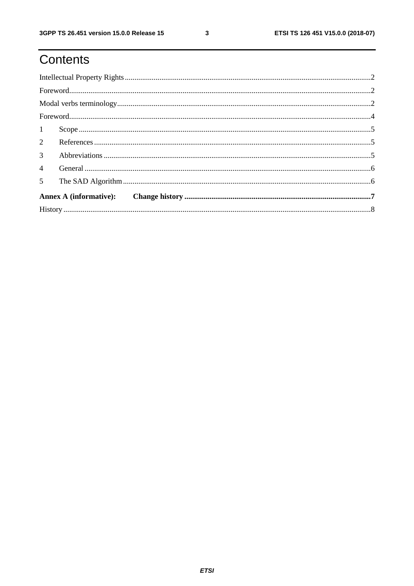$\mathbf{3}$ 

# Contents

| 3 <sup>1</sup> |  |  |  |  |  |  |
|----------------|--|--|--|--|--|--|
| $\overline{4}$ |  |  |  |  |  |  |
|                |  |  |  |  |  |  |
|                |  |  |  |  |  |  |
|                |  |  |  |  |  |  |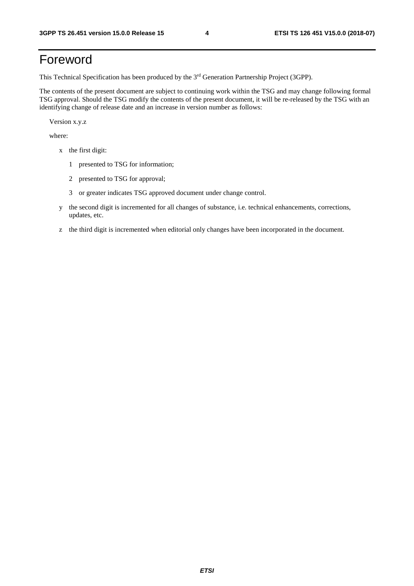# Foreword

This Technical Specification has been produced by the 3rd Generation Partnership Project (3GPP).

The contents of the present document are subject to continuing work within the TSG and may change following formal TSG approval. Should the TSG modify the contents of the present document, it will be re-released by the TSG with an identifying change of release date and an increase in version number as follows:

Version x.y.z

where:

- x the first digit:
	- 1 presented to TSG for information;
	- 2 presented to TSG for approval;
	- 3 or greater indicates TSG approved document under change control.
- y the second digit is incremented for all changes of substance, i.e. technical enhancements, corrections, updates, etc.
- z the third digit is incremented when editorial only changes have been incorporated in the document.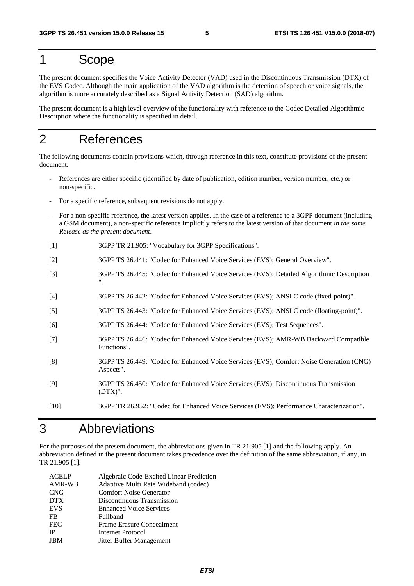### 1 Scope

The present document specifies the Voice Activity Detector (VAD) used in the Discontinuous Transmission (DTX) of the EVS Codec. Although the main application of the VAD algorithm is the detection of speech or voice signals, the algorithm is more accurately described as a Signal Activity Detection (SAD) algorithm.

The present document is a high level overview of the functionality with reference to the Codec Detailed Algorithmic Description where the functionality is specified in detail.

# 2 References

The following documents contain provisions which, through reference in this text, constitute provisions of the present document.

- References are either specific (identified by date of publication, edition number, version number, etc.) or non-specific.
- For a specific reference, subsequent revisions do not apply.
- For a non-specific reference, the latest version applies. In the case of a reference to a 3GPP document (including a GSM document), a non-specific reference implicitly refers to the latest version of that document *in the same Release as the present document*.
- [1] 3GPP TR 21.905: "Vocabulary for 3GPP Specifications".
- [2] 3GPP TS 26.441: "Codec for Enhanced Voice Services (EVS); General Overview".
- [3] 3GPP TS 26.445: "Codec for Enhanced Voice Services (EVS); Detailed Algorithmic Description ".
- [4] 3GPP TS 26.442: "Codec for Enhanced Voice Services (EVS); ANSI C code (fixed-point)".
- [5] 3GPP TS 26.443: "Codec for Enhanced Voice Services (EVS); ANSI C code (floating-point)".
- [6] 3GPP TS 26.444: "Codec for Enhanced Voice Services (EVS); Test Sequences".
- [7] 3GPP TS 26.446: "Codec for Enhanced Voice Services (EVS); AMR-WB Backward Compatible Functions".
- [8] 3GPP TS 26.449: "Codec for Enhanced Voice Services (EVS); Comfort Noise Generation (CNG) Aspects".
- [9] 3GPP TS 26.450: "Codec for Enhanced Voice Services (EVS); Discontinuous Transmission (DTX)".
- [10] 3GPP TR 26.952: "Codec for Enhanced Voice Services (EVS); Performance Characterization".

# 3 Abbreviations

For the purposes of the present document, the abbreviations given in TR 21.905 [1] and the following apply. An abbreviation defined in the present document takes precedence over the definition of the same abbreviation, if any, in TR 21.905 [1].

| <b>ACELP</b> | Algebraic Code-Excited Linear Prediction |
|--------------|------------------------------------------|
| AMR-WB       | Adaptive Multi Rate Wideband (codec)     |
| <b>CNG</b>   | <b>Comfort Noise Generator</b>           |
| <b>DTX</b>   | Discontinuous Transmission               |
| <b>EVS</b>   | <b>Enhanced Voice Services</b>           |
| FB           | Fullband                                 |
| <b>FEC</b>   | Frame Erasure Concealment                |
| <b>IP</b>    | <b>Internet Protocol</b>                 |
| <b>JBM</b>   | Jitter Buffer Management                 |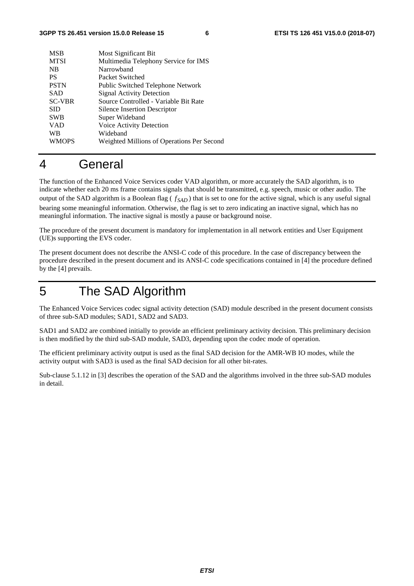| <b>MSB</b>    | Most Significant Bit                       |
|---------------|--------------------------------------------|
| <b>MTSI</b>   | Multimedia Telephony Service for IMS       |
| <b>NB</b>     | Narrowhand                                 |
| <b>PS</b>     | Packet Switched                            |
| <b>PSTN</b>   | Public Switched Telephone Network          |
| <b>SAD</b>    | <b>Signal Activity Detection</b>           |
| <b>SC-VBR</b> | Source Controlled - Variable Bit Rate      |
| <b>SID</b>    | Silence Insertion Descriptor               |
| <b>SWB</b>    | Super Wideband                             |
| <b>VAD</b>    | Voice Activity Detection                   |
| <b>WB</b>     | Wideband                                   |
| <b>WMOPS</b>  | Weighted Millions of Operations Per Second |
|               |                                            |

### 4 General

The function of the Enhanced Voice Services coder VAD algorithm, or more accurately the SAD algorithm, is to indicate whether each 20 ms frame contains signals that should be transmitted, e.g. speech, music or other audio. The output of the SAD algorithm is a Boolean flag  $(f_{SAD})$  that is set to one for the active signal, which is any useful signal bearing some meaningful information. Otherwise, the flag is set to zero indicating an inactive signal, which has no meaningful information. The inactive signal is mostly a pause or background noise.

The procedure of the present document is mandatory for implementation in all network entities and User Equipment (UE)s supporting the EVS coder.

The present document does not describe the ANSI-C code of this procedure. In the case of discrepancy between the procedure described in the present document and its ANSI-C code specifications contained in [4] the procedure defined by the [4] prevails.

# 5 The SAD Algorithm

The Enhanced Voice Services codec signal activity detection (SAD) module described in the present document consists of three sub-SAD modules; SAD1, SAD2 and SAD3.

SAD1 and SAD2 are combined initially to provide an efficient preliminary activity decision. This preliminary decision is then modified by the third sub-SAD module, SAD3, depending upon the codec mode of operation.

The efficient preliminary activity output is used as the final SAD decision for the AMR-WB IO modes, while the activity output with SAD3 is used as the final SAD decision for all other bit-rates.

Sub-clause 5.1.12 in [3] describes the operation of the SAD and the algorithms involved in the three sub-SAD modules in detail.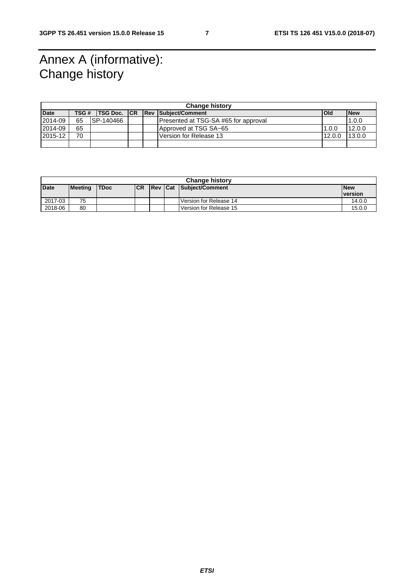# Annex A (informative): Change history

| <b>Change history</b> |       |                      |  |  |                                      |            |            |
|-----------------------|-------|----------------------|--|--|--------------------------------------|------------|------------|
| <b>Date</b>           | TSG # | <b>ITSG Doc. ICR</b> |  |  | <b>Rev Subiect/Comment</b>           | <b>Old</b> | <b>New</b> |
| 2014-09               | 65    | ISP-140466           |  |  | Presented at TSG-SA #65 for approval |            | 1.0.0      |
| 2014-09               | 65    |                      |  |  | Approved at TSG SA~65                | 1.0.0      | 12.0.0     |
| 2015-12               | 70    |                      |  |  | Version for Release 13               | 12.0.0     | 13.0.0     |
|                       |       |                      |  |  |                                      |            |            |

| <b>Change history</b> |         |             |            |  |  |                         |                |
|-----------------------|---------|-------------|------------|--|--|-------------------------|----------------|
| <b>Date</b>           | Meeting | <b>TDoc</b> | <b>ICR</b> |  |  | Rev Cat Subject/Comment | <b>New</b>     |
|                       |         |             |            |  |  |                         | <b>version</b> |
| 2017-03               | 75      |             |            |  |  | Version for Release 14  | 14.0.0         |
| 2018-06               | 80      |             |            |  |  | Version for Release 15  | 15.0.0         |